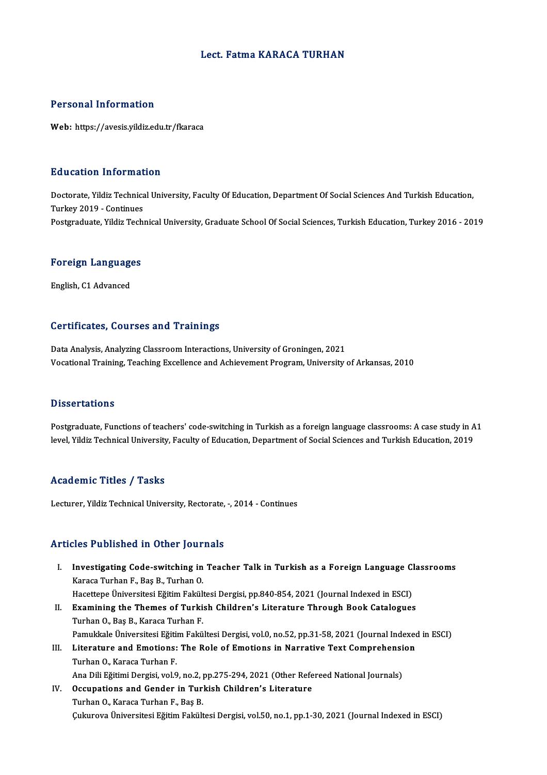#### Lect. Fatma KARACA TURHAN

#### Personal Information

Web: https://avesis.yildiz.edu.tr/fkaraca

#### Education Information

Education Information<br>Doctorate, Yildiz Technical University, Faculty Of Education, Department Of Social Sciences And Turkish Education,<br>Turkey 2019, Continues Turkey<br>Doctorate, Yildiz Technica<br>Turkey 2019 - Continues<br>Bostaraduate, Yildiz Tech Turkey 2019 - Continues<br>Postgraduate, Yildiz Technical University, Graduate School Of Social Sciences, Turkish Education, Turkey 2016 - 2019

### rosigraduate, riidiz rech<br>**Foreign Languages** <mark>Foreign Language</mark><br>English, C1 Advanced

# English, C1 Advanced<br>Certificates, Courses and Trainings

Data Analysis, Analyzing Classroom Interactions, University of Groningen, 2021 Vocational Training, Teaching Excellence and Achievement Program, University of Arkansas, 2010

#### **Dissertations**

**Dissertations**<br>Postgraduate, Functions of teachers' code-switching in Turkish as a foreign language classrooms: A case study in A1<br>Javel Vildig Technical University, Faculty of Education, Department of Social Sciences and L'isseer cacre no<br>Postgraduate, Functions of teachers' code-switching in Turkish as a foreign language classrooms: A case study in A<br>level, Yildiz Technical University, Faculty of Education, Department of Social Sciences a level, Yildiz Technical University, Faculty of Education, Department of Social Sciences and Turkish Education, 2019<br>Academic Titles / Tasks

Lecturer, Yildiz Technical University, Rectorate, -, 2014 - Continues

#### Articles Published in Other Journals

- rticles Published in Other Journals<br>I. Investigating Code-switching in Teacher Talk in Turkish as a Foreign Language Classrooms<br>Karasa Turban E. Bas B. Turban O Investigating Code-switching in<br>Karaca Turhan F., Baş B., Turhan O.<br>Hasattana Üniversitesi Eğitim Fakül Investigating Code-switching in Teacher Talk in Turkish as a Foreign Language Cl<br>Karaca Turhan F., Baş B., Turhan O.<br>Hacettepe Üniversitesi Eğitim Fakültesi Dergisi, pp.840-854, 2021 (Journal Indexed in ESCI)<br>Evamining the Karaca Turhan F., Baş B., Turhan O.<br>Hacettepe Üniversitesi Eğitim Fakültesi Dergisi, pp.840-854, 2021 (Journal Indexed in ESCI)<br>II. Examining the Themes of Turkish Children's Literature Through Book Catalogues
- Turhan O., Baş B., Karaca Turhan F. Pamukkale Üniversitesi Eğitim Fakültesi Dergisi, vol.0, no.52, pp.31-58, 2021 (Journal Indexed in ESCI) Turhan O., Baş B., Karaca Turhan F.<br>Pamukkale Üniversitesi Eğitim Fakültesi Dergisi, vol.0, no.52, pp.31-58, 2021 (Journal Indexed<br>III. Literature and Emotions: The Role of Emotions in Narrative Text Comprehension<br>Turban O
- Pamukkale Üniversitesi Eğiti<br>Literature and Emotions:<br>Turhan O., Karaca Turhan F.<br>Ane Dili Eğitimi Devgisi, vel 9 Literature and Emotions: The Role of Emotions in Narrative Text Comprehensi<br>Turhan O., Karaca Turhan F.<br>Ana Dili Eğitimi Dergisi, vol.9, no.2, pp.275-294, 2021 (Other Refereed National Journals)<br>Qesupations and Condor in T Ana Dili Eğitimi Dergisi, vol.9, no.2, pp.275-294, 2021 (Other Refereed National Journals)
- Turhan O., Karaca Turhan F.<br>Ana Dili Eğitimi Dergisi, vol.9, no.2, pp.275-294, 2021 (Other Refe<br>IV. Occupations and Gender in Turkish Children's Literature<br>Turhan O., Karaca Turhan F., Baş B. ÇukurovaÜniversitesiEğitimFakültesiDergisi,vol.50,no.1,pp.1-30,2021 (Journal Indexed inESCI)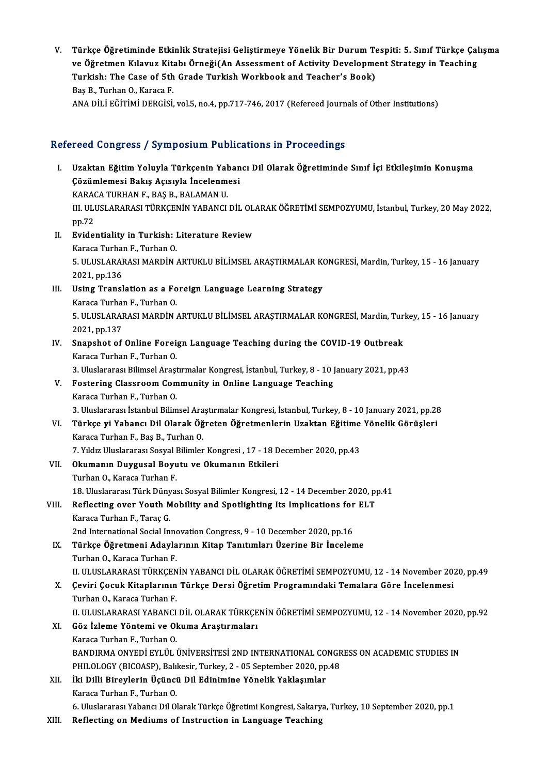V. Türkçe Öğretiminde Etkinlik Stratejisi Geliştirmeye Yönelik Bir Durum Tespiti: 5. Sınıf Türkçe Çalışma Türkçe Öğretiminde Etkinlik Stratejisi Geliştirmeye Yönelik Bir Durum Tespiti: 5. Sınıf Türkçe Çal<br>ve Öğretmen Kılavuz Kitabı Örneği(An Assessment of Activity Development Strategy in Teaching<br>Turkish: The Case of Eth Crade Türkçe Öğretiminde Etkinlik Stratejisi Geliştirmeye Yönelik Bir Durum Te<br>ve Öğretmen Kılavuz Kitabı Örneği(An Assessment of Activity Developme<br>Turkish: The Case of 5th Grade Turkish Workbook and Teacher's Book)<br>Pes P. Turk ve Öğretmen Kılavuz Kita<br>Turkish: The Case of 5th<br>Baş B., Turhan O., Karaca F.<br>ANA Dili FğiriMi DEDCisi Turkish: The Case of 5th Grade Turkish Workbook and Teacher's Book)<br>Baş B., Turhan O., Karaca F.<br>ANA DİLİ EĞİTİMİ DERGİSİ, vol.5, no.4, pp.717-746, 2017 (Refereed Journals of Other Institutions)

### Refereed Congress / Symposium Publications in Proceedings

efereed Congress / Symposium Publications in Proceedings<br>I. Uzaktan Eğitim Yoluyla Türkçenin Yabancı Dil Olarak Öğretiminde Sınıf İçi Etkileşimin Konuşma<br>Cözümlemesi Bakıs Asısıyla İnselenmesi Tood dongross) oy mposium rushe<br>Uzaktan Eğitim Yoluyla Türkçenin Yaban<br>Çözümlemesi Bakış Açısıyla İncelenmesi<br>KARAÇA TURHAN E. BAS R. BALAMAN U Çözümlemesi Bakış Açısıyla İncelenmesi<br>KARACA TURHAN F., BAŞ B., BALAMAN U. Çözümlemesi Bakış Açısıyla İncelenmesi<br>KARACA TURHAN F., BAŞ B., BALAMAN U.<br>III. ULUSLARARASI TÜRKÇENİN YABANCI DİL OLARAK ÖĞRETİMİ SEMPOZYUMU, İstanbul, Turkey, 20 May 2022,<br>nn 72 KARA<br>III. ULI<br>pp.72 III. ULUSLARARASI TÜRKÇENİN YABANCI DİL OL.<br>pp.72<br>II. Evidentiality in Turkish: Literature Review pp.72<br>II. Evidentiality in Turkish: Literature Review<br>Karaca Turhan F., Turhan O. Evidentiality in Turkish: Literature Review<br>Karaca Turhan F., Turhan O.<br>5. ULUSLARARASI MARDİN ARTUKLU BİLİMSEL ARAŞTIRMALAR KONGRESİ, Mardin, Turkey, 15 - 16 January<br>2021 pp.126 Karaca Turhai<br>5. ULUSLARAI<br>2021, pp.136<br>Using Tranal 5. ULUSLARARASI MARDIN ARTUKLU BILIMSEL ARAŞTIRMALAR KOLUSLARARASI MARDIN ARTUKLU BILIMSEL ARAŞTIRMALAR KOLUSLAR<br>III. Using Translation as a Foreign Language Learning Strategy<br>Konses Turban E. Turban Q 2021, pp.136<br>III. Using Translation as a Foreign Language Learning Strategy 5. ULUSLARARASI MARDİN ARTUKLU BİLİMSEL ARAŞTIRMALAR KONGRESİ, Mardin, Turkey, 15 - 16 January<br>2021, pp.137 Karaca Turhan F., Turhan O. 5. ULUSLARARASI MARDIN ARTUKLU BILIMSEL ARAŞTIRMALAR KONGRESI, Mardin, Tur.<br>2021, pp.137<br>IV. Snapshot of Online Foreign Language Teaching during the COVID-19 Outbreak<br>Kanaga Turban E. Turban Q 2021, pp.137<br><mark>Snapshot of Online Forei</mark><br>Karaca Turhan F., Turhan O.<br><sup>2. Huclararos: Bilimeol Arast</sup> Karaca Turhan F., Turhan O.<br>3. Uluslararası Bilimsel Araştırmalar Kongresi, İstanbul, Turkey, 8 - 10 January 2021, pp.43 Karaca Turhan F., Turhan O.<br>3. Uluslararası Bilimsel Araştırmalar Kongresi, İstanbul, Turkey, 8 - 10 J<br>V. Fostering Classroom Community in Online Language Teaching<br>Karaca Turban E. Turban O. 3. Uluslararası Bilimsel Araşı<br>Fostering Classroom Con<br>Karaca Turhan F., Turhan O.<br>2. Uluslaranası İstanbul Bilim Karaca Turhan F., Turhan O.<br>3. Uluslararası İstanbul Bilimsel Araştırmalar Kongresi, İstanbul, Turkey, 8 - 10 January 2021, pp.28 Karaca Turhan F., Turhan O.<br>1. J. Uluslararası İstanbul Bilimsel Araştırmalar Kongresi, İstanbul, Turkey, 8 - 10 January 2021, pp.28<br>1. VI. – Türkçe yi Yabancı Dil Olarak Öğreten Öğretmenlerin Uzaktan Eğitime Yönelik Görüş 3. Uluslararası İstanbul Bilimsel Ara<br><mark>Türkçe yi Yabancı Dil Olarak Öğ</mark><br>Karaca Turhan F., Baş B., Turhan O.<br>7. Vıldır Uluslararası Sosual Bilimlar Türkçe yi Yabancı Dil Olarak Öğreten Öğretmenlerin Uzaktan Eğitime<br>Karaca Turhan F., Baş B., Turhan O.<br>7. Yıldız Uluslararası Sosyal Bilimler Kongresi , 17 - 18 December 2020, pp.43<br>Olumanın Duyguaal Boyutu ve Olumanın Etk Karaca Turhan F., Baş B., Turhan O.<br>7. Yıldız Uluslararası Sosyal Bilimler Kongresi , 17 - 18 D<br>VII. **Okumanın Duygusal Boyutu ve Okumanın Etkileri**<br>Turhan O., Karaca Turhan F. 7. Yıldız Uluslararası Sosyal Bilimler Kongresi, 17 - 18 December 2020, pp.43 18.UluslararasıTürkDünyasıSosyalBilimlerKongresi,12 -14December 2020,pp.41 Turhan O., Karaca Turhan F.<br>18. Uluslararası Türk Dünyası Sosyal Bilimler Kongresi, 12 - 14 December 2020, p<br>19. VIII. Reflecting over Youth Mobility and Spotlighting Its Implications for ELT 18. Uluslararası Türk Düny<br>Reflecting over Youth M<br>Karaca Turhan F., Taraç G.<br>2nd International Social In Reflecting over Youth Mobility and Spotlighting Its Implications for<br>Karaca Turhan F., Taraç G.<br>2nd International Social Innovation Congress, 9 - 10 December 2020, pp.16<br>Türkçe Öğretmeni Adavlarının Kitan Tanıtımları Üzeri Karaca Turhan F., Taraç G.<br>2nd International Social Innovation Congress, 9 - 10 December 2020, pp.16<br>IX. Türkçe Öğretmeni Adaylarının Kitap Tanıtımları Üzerine Bir İnceleme<br>Turhan O., Karaca Turhan F. 2nd International Social Innovation Congress, 9 - 10 December 2020, pp.16 Türkçe Öğretmeni Adaylarının Kitap Tanıtımları Üzerine Bir İnceleme<br>Turhan O., Karaca Turhan F.<br>II. ULUSLARARASI TÜRKÇENİN YABANCI DİL OLARAK ÖĞRETİMİ SEMPOZYUMU, 12 - 14 November 2020, pp.49<br>Ceviri Cesuk Kitaplarının Türk Turhan O., Karaca Turhan F.<br>II. ULUSLARARASI TÜRKÇENİN YABANCI DİL OLARAK ÖĞRETİMİ SEMPOZYUMU, 12 - 14 November 20.<br>X. Çeviri Çocuk Kitaplarının Türkçe Dersi Öğretim Programındaki Temalara Göre İncelenmesi<br>Turban O. Karaca II. ULUSLARARASI TÜRKÇEN<br><mark>Çeviri Çocuk Kitaplarının</mark><br>Turhan O., Karaca Turhan F.<br>U. ULUSLARARASI YARANCI X. Çeviri Çocuk Kitaplarının Türkçe Dersi Öğretim Programındaki Temalara Göre İncelenmesi<br>Turhan O., Karaca Turhan F.<br>II. ULUSLARARASI YABANCI DİL OLARAK TÜRKÇENİN ÖĞRETİMİ SEMPOZYUMU, 12 - 14 November 2020, pp.92 XI. Göz İzleme Yöntemi ve Okuma Araştırmaları Karaca Turhan F., Turhan O. Göz İzleme Yöntemi ve Okuma Araştırmaları<br>Karaca Turhan F., Turhan O.<br>BANDIRMA ONYEDİ EYLÜL ÜNİVERSİTESİ 2ND INTERNATIONAL CONGRESS ON ACADEMIC STUDIES IN<br>PHU OLOCY (BICOASP), Bakkasır Turkay 2, 05 Santambar 2020'nın 48 Karaca Turhan F., Turhan O.<br>BANDIRMA ONYEDİ EYLÜL ÜNİVERSİTESİ 2ND INTERNATIONAL CONGR<br>PHILOLOGY (BICOASP), Balıkesir, Turkey, 2 - 05 September 2020, pp.48<br>İki Dilli Birovlarin Üsünsü Dil Edinimine Yönelik Yaklasımlar XII. İki Dilli Bireylerin Üçüncü Dil Edinimine Yönelik Yaklaşımlar<br>Karaca Turhan F., Turhan O. PHILOLOGY (BICOASP), Balıkesir, Turkey, 2 - 05 September 2020, pp.48 6. Uluslararası Yabancı Dil Olarak Türkçe Öğretimi Kongresi, Sakarya, Turkey, 10 September 2020, pp.1 XIII. Reflecting on Mediums of Instruction in Language Teaching